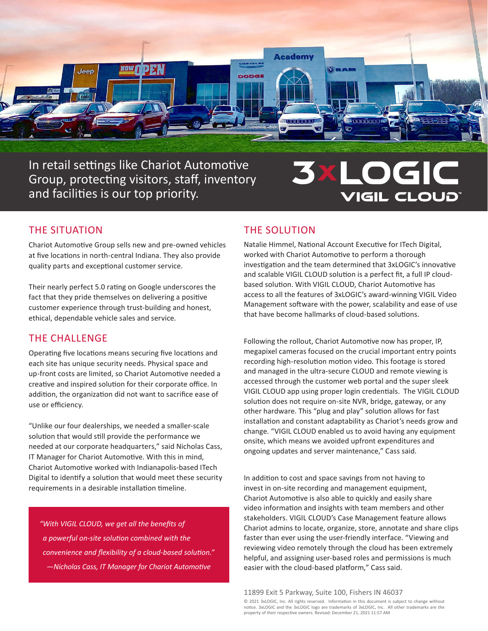

In retail settings like Chariot Automotive Group, protecting visitors, staff, inventory and facilities is our top priority.

# LOGIC **3X** VIGIL CLOUD<sup>®</sup>

# THE SITUATION

Chariot Automotive Group sells new and pre-owned vehicles at five locations in north-central Indiana. They also provide quality parts and exceptional customer service.

Their nearly perfect 5.0 rating on Google underscores the fact that they pride themselves on delivering a positive customer experience through trust-building and honest, ethical, dependable vehicle sales and service.

# THE CHALLENGE

Operating five locations means securing five locations and each site has unique security needs. Physical space and up-front costs are limited, so Chariot Automotive needed a creative and inspired solution for their corporate office. In addition, the organization did not want to sacrifice ease of use or efficiency.

"Unlike our four dealerships, we needed a smaller-scale solution that would still provide the performance we needed at our corporate headquarters," said Nicholas Cass, IT Manager for Chariot Automotive. With this in mind, Chariot Automotive worked with Indianapolis-based ITech Digital to identify a solution that would meet these security requirements in a desirable installation timeline.

*"With VIGIL CLOUD, we get all the benefits of a powerful on-site solution combined with the convenience and flexibility of a cloud-based solution." —Nicholas Cass, IT Manager for Chariot Automotive*

# THE SOLUTION

Natalie Himmel, National Account Executive for ITech Digital, worked with Chariot Automotive to perform a thorough investigation and the team determined that 3xLOGIC's innovative and scalable VIGIL CLOUD solution is a perfect fit, a full IP cloudbased solution. With VIGIL CLOUD, Chariot Automotive has access to all the features of 3xLOGIC's award-winning VIGIL Video Management software with the power, scalability and ease of use that have become hallmarks of cloud-based solutions.

Following the rollout, Chariot Automotive now has proper, IP, megapixel cameras focused on the crucial important entry points recording high-resolution motion video. This footage is stored and managed in the ultra-secure CLOUD and remote viewing is accessed through the customer web portal and the super sleek VIGIL CLOUD app using proper login credentials. The VIGIL CLOUD solution does not require on-site NVR, bridge, gateway, or any other hardware. This "plug and play" solution allows for fast installation and constant adaptability as Chariot's needs grow and change. "VIGIL CLOUD enabled us to avoid having any equipment onsite, which means we avoided upfront expenditures and ongoing updates and server maintenance," Cass said.

In addition to cost and space savings from not having to invest in on-site recording and management equipment, Chariot Automotive is also able to quickly and easily share video information and insights with team members and other stakeholders. VIGIL CLOUD's Case Management feature allows Chariot admins to locate, organize, store, annotate and share clips faster than ever using the user-friendly interface. "Viewing and reviewing video remotely through the cloud has been extremely helpful, and assigning user-based roles and permissions is much easier with the cloud-based platform," Cass said.

© 2021 3xLOGIC, Inc. All rights reserved. Information in this document is subject to change without notice. 3xLOGIC and the 3xLOGIC logo are trademarks of 3xLOGIC, Inc. All other trademarks are the property of their respective owners. Revised: December 21, 2021 11:57 AM 11899 Exit 5 Parkway, Suite 100, Fishers IN 46037